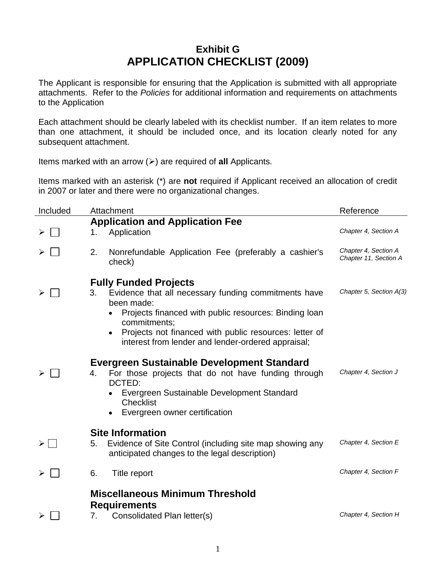## **Exhibit G APPLICATION CHECKLIST (2009)**

The Applicant is responsible for ensuring that the Application is submitted with all appropriate attachments. Refer to the *Policies* for additional information and requirements on attachments to the Application

Each attachment should be clearly labeled with its checklist number. If an item relates to more than one attachment, it should be included once, and its location clearly noted for any subsequent attachment.

Items marked with an arrow  $(\ge)$  are required of **all** Applicants.

Items marked with an asterisk (\*) are **not** required if Applicant received an allocation of credit in 2007 or later and there were no organizational changes.

| Included      | Attachment                                                                                                                                                                                                                  | Reference                                     |  |
|---------------|-----------------------------------------------------------------------------------------------------------------------------------------------------------------------------------------------------------------------------|-----------------------------------------------|--|
|               | <b>Application and Application Fee</b>                                                                                                                                                                                      |                                               |  |
| ➤             | Application<br>1.                                                                                                                                                                                                           | Chapter 4, Section A                          |  |
|               | 2.<br>Nonrefundable Application Fee (preferably a cashier's<br>check)                                                                                                                                                       | Chapter 4, Section A<br>Chapter 11, Section A |  |
| ≻             | <b>Fully Funded Projects</b><br>Evidence that all necessary funding commitments have<br>3.<br>been made:<br>Projects financed with public resources: Binding Ioan                                                           | Chapter 5, Section A(3)                       |  |
|               | commitments;<br>Projects not financed with public resources: letter of<br>interest from lender and lender-ordered appraisal;                                                                                                |                                               |  |
|               | <b>Evergreen Sustainable Development Standard</b><br>For those projects that do not have funding through<br>4.<br>DCTED:<br>Evergreen Sustainable Development Standard<br><b>Checklist</b><br>Evergreen owner certification | Chapter 4, Section J                          |  |
| $>$   $\prec$ | <b>Site Information</b><br>Evidence of Site Control (including site map showing any<br>5.<br>anticipated changes to the legal description)                                                                                  | Chapter 4, Section E                          |  |
|               | 6.<br>Title report                                                                                                                                                                                                          | Chapter 4, Section F                          |  |
|               | <b>Miscellaneous Minimum Threshold</b><br><b>Requirements</b><br>Consolidated Plan letter(s)<br>7.                                                                                                                          | Chapter 4, Section H                          |  |
|               |                                                                                                                                                                                                                             |                                               |  |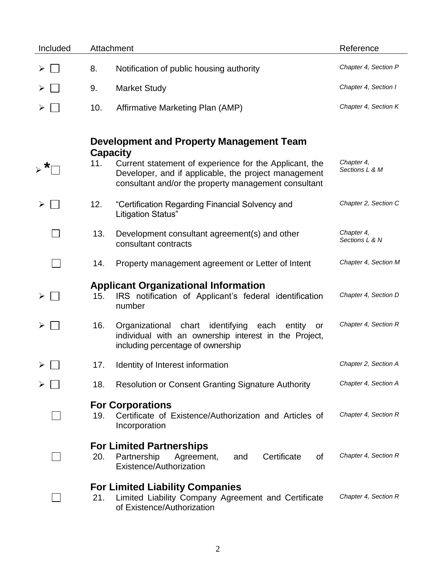| Included |     | Attachment                                                                                                                                                                                                                            | Reference                    |
|----------|-----|---------------------------------------------------------------------------------------------------------------------------------------------------------------------------------------------------------------------------------------|------------------------------|
| ➤        | 8.  | Notification of public housing authority                                                                                                                                                                                              | Chapter 4, Section P         |
|          | 9.  | <b>Market Study</b>                                                                                                                                                                                                                   | Chapter 4, Section I         |
|          | 10. | Affirmative Marketing Plan (AMP)                                                                                                                                                                                                      | Chapter 4, Section K         |
|          | 11. | Development and Property Management Team<br><b>Capacity</b><br>Current statement of experience for the Applicant, the<br>Developer, and if applicable, the project management<br>consultant and/or the property management consultant | Chapter 4,<br>Sections L & M |
|          | 12. | "Certification Regarding Financial Solvency and<br>Litigation Status"                                                                                                                                                                 | Chapter 2, Section C         |
|          | 13. | Development consultant agreement(s) and other<br>consultant contracts                                                                                                                                                                 | Chapter 4,<br>Sections L & N |
|          | 14. | Property management agreement or Letter of Intent                                                                                                                                                                                     | Chapter 4, Section M         |
| ➤        | 15. | <b>Applicant Organizational Information</b><br>IRS notification of Applicant's federal identification<br>number                                                                                                                       | Chapter 4, Section D         |
| ➤        | 16. | Organizational chart identifying<br>each<br>entity<br>or<br>individual with an ownership interest in the Project,<br>including percentage of ownership                                                                                | Chapter 4, Section R         |
| ⋗        | 17. | Identity of Interest information                                                                                                                                                                                                      | Chapter 2, Section A         |
| ➤        | 18. | <b>Resolution or Consent Granting Signature Authority</b>                                                                                                                                                                             | Chapter 4, Section A         |
|          | 19. | <b>For Corporations</b><br>Certificate of Existence/Authorization and Articles of<br>Incorporation                                                                                                                                    | Chapter 4, Section R         |
|          | 20. | <b>For Limited Partnerships</b><br>Partnership<br>Certificate<br>Agreement,<br>0f<br>and<br>Existence/Authorization                                                                                                                   | Chapter 4, Section R         |
|          | 21. | <b>For Limited Liability Companies</b><br>Limited Liability Company Agreement and Certificate<br>of Existence/Authorization                                                                                                           | Chapter 4, Section R         |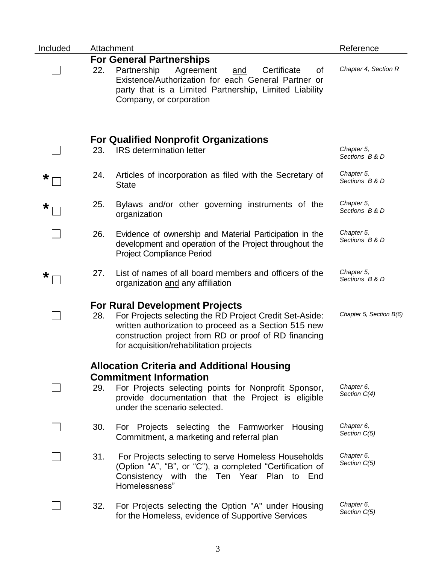| Included |     | Attachment                                                                                                                                                                                                                                                    | Reference                    |
|----------|-----|---------------------------------------------------------------------------------------------------------------------------------------------------------------------------------------------------------------------------------------------------------------|------------------------------|
|          |     | <b>For General Partnerships</b>                                                                                                                                                                                                                               |                              |
|          | 22. | Partnership<br>Agreement<br>Certificate<br>and<br>οf<br>Existence/Authorization for each General Partner or<br>party that is a Limited Partnership, Limited Liability<br>Company, or corporation                                                              | Chapter 4, Section R         |
|          |     |                                                                                                                                                                                                                                                               |                              |
|          | 23. | <b>For Qualified Nonprofit Organizations</b><br><b>IRS</b> determination letter                                                                                                                                                                               | Chapter 5,<br>Sections B & D |
| $\star$  | 24. | Articles of incorporation as filed with the Secretary of<br><b>State</b>                                                                                                                                                                                      | Chapter 5,<br>Sections B & D |
| $\star$  | 25. | Bylaws and/or other governing instruments of the<br>organization                                                                                                                                                                                              | Chapter 5,<br>Sections B & D |
|          | 26. | Evidence of ownership and Material Participation in the<br>development and operation of the Project throughout the<br><b>Project Compliance Period</b>                                                                                                        | Chapter 5,<br>Sections B & D |
| $\ast$   | 27. | List of names of all board members and officers of the<br>organization and any affiliation                                                                                                                                                                    | Chapter 5,<br>Sections B & D |
|          | 28. | <b>For Rural Development Projects</b><br>For Projects selecting the RD Project Credit Set-Aside:<br>written authorization to proceed as a Section 515 new<br>construction project from RD or proof of RD financing<br>for acquisition/rehabilitation projects | Chapter 5, Section B(6)      |
|          |     | <b>Allocation Criteria and Additional Housing</b>                                                                                                                                                                                                             |                              |
|          |     | <b>Commitment Information</b>                                                                                                                                                                                                                                 |                              |
|          | 29. | For Projects selecting points for Nonprofit Sponsor,<br>provide documentation that the Project is eligible<br>under the scenario selected.                                                                                                                    | Chapter 6,<br>Section C(4)   |
|          | 30. | For Projects selecting the Farmworker Housing<br>Commitment, a marketing and referral plan                                                                                                                                                                    | Chapter 6,<br>Section C(5)   |
|          | 31. | For Projects selecting to serve Homeless Households<br>(Option "A", "B", or "C"), a completed "Certification of<br>Consistency with the Ten Year Plan to End<br>Homelessness"                                                                                 | Chapter 6,<br>Section C(5)   |
|          | 32. | For Projects selecting the Option "A" under Housing<br>for the Homeless, evidence of Supportive Services                                                                                                                                                      | Chapter 6,<br>Section C(5)   |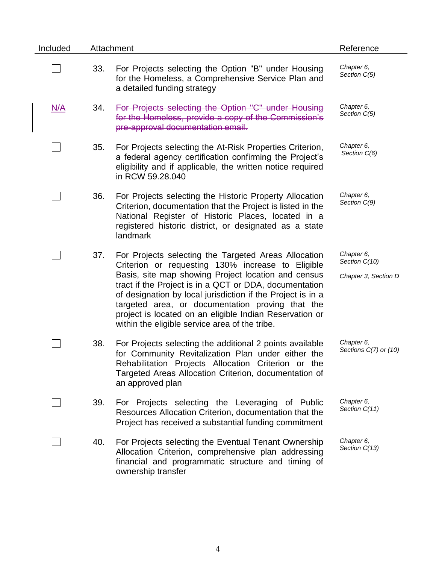| Included |     | Attachment                                                                                                                                                                                                                                                                                                                                                                                                                                                 | Reference                                           |
|----------|-----|------------------------------------------------------------------------------------------------------------------------------------------------------------------------------------------------------------------------------------------------------------------------------------------------------------------------------------------------------------------------------------------------------------------------------------------------------------|-----------------------------------------------------|
|          | 33. | For Projects selecting the Option "B" under Housing<br>for the Homeless, a Comprehensive Service Plan and<br>a detailed funding strategy                                                                                                                                                                                                                                                                                                                   | Chapter 6,<br>Section C(5)                          |
| N/A      | 34. | For Projects selecting the Option "C" under Housing<br>for the Homeless, provide a copy of the Commission's<br>pre-approval documentation email.                                                                                                                                                                                                                                                                                                           | Chapter 6,<br>Section C(5)                          |
|          | 35. | For Projects selecting the At-Risk Properties Criterion,<br>a federal agency certification confirming the Project's<br>eligibility and if applicable, the written notice required<br>in RCW 59.28.040                                                                                                                                                                                                                                                      | Chapter 6,<br>Section C(6)                          |
|          | 36. | For Projects selecting the Historic Property Allocation<br>Criterion, documentation that the Project is listed in the<br>National Register of Historic Places, located in a<br>registered historic district, or designated as a state<br>landmark                                                                                                                                                                                                          | Chapter 6,<br>Section C(9)                          |
|          | 37. | For Projects selecting the Targeted Areas Allocation<br>Criterion or requesting 130% increase to Eligible<br>Basis, site map showing Project location and census<br>tract if the Project is in a QCT or DDA, documentation<br>of designation by local jurisdiction if the Project is in a<br>targeted area, or documentation proving that the<br>project is located on an eligible Indian Reservation or<br>within the eligible service area of the tribe. | Chapter 6,<br>Section C(10)<br>Chapter 3, Section D |
|          | 38. | For Projects selecting the additional 2 points available<br>for Community Revitalization Plan under either the<br>Rehabilitation Projects Allocation Criterion or the<br>Targeted Areas Allocation Criterion, documentation of<br>an approved plan                                                                                                                                                                                                         | Chapter 6,<br>Sections C(7) or (10)                 |
|          | 39. | For Projects selecting the Leveraging of Public<br>Resources Allocation Criterion, documentation that the<br>Project has received a substantial funding commitment                                                                                                                                                                                                                                                                                         | Chapter 6,<br>Section C(11)                         |
|          | 40. | For Projects selecting the Eventual Tenant Ownership<br>Allocation Criterion, comprehensive plan addressing<br>financial and programmatic structure and timing of<br>ownership transfer                                                                                                                                                                                                                                                                    | Chapter 6,<br>Section C(13)                         |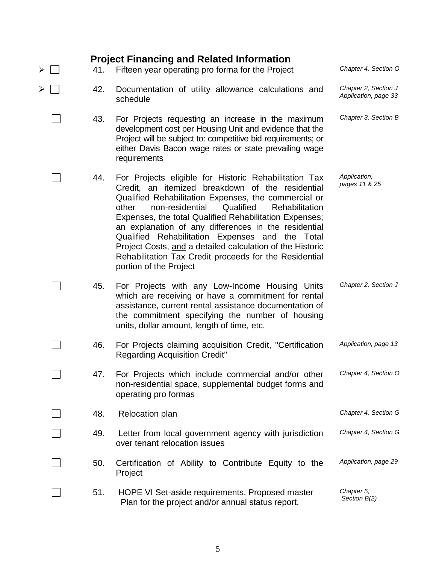| ➤ | 41. | <b>Project Financing and Related Information</b><br>Fifteen year operating pro forma for the Project                                                                                                                                                                                                                                                                                                                                                                                                                                               | Chapter 4, Section O                         |
|---|-----|----------------------------------------------------------------------------------------------------------------------------------------------------------------------------------------------------------------------------------------------------------------------------------------------------------------------------------------------------------------------------------------------------------------------------------------------------------------------------------------------------------------------------------------------------|----------------------------------------------|
|   | 42. | Documentation of utility allowance calculations and<br>schedule                                                                                                                                                                                                                                                                                                                                                                                                                                                                                    | Chapter 2, Section J<br>Application, page 33 |
|   | 43. | For Projects requesting an increase in the maximum<br>development cost per Housing Unit and evidence that the<br>Project will be subject to: competitive bid requirements; or<br>either Davis Bacon wage rates or state prevailing wage<br>requirements                                                                                                                                                                                                                                                                                            | Chapter 3, Section B                         |
|   | 44. | For Projects eligible for Historic Rehabilitation Tax<br>Credit, an itemized breakdown of the residential<br>Qualified Rehabilitation Expenses, the commercial or<br>Qualified<br>non-residential<br>Rehabilitation<br>other<br>Expenses, the total Qualified Rehabilitation Expenses;<br>an explanation of any differences in the residential<br>Qualified Rehabilitation Expenses and the Total<br>Project Costs, and a detailed calculation of the Historic<br>Rehabilitation Tax Credit proceeds for the Residential<br>portion of the Project | Application,<br>pages 11 & 25                |
|   | 45. | For Projects with any Low-Income Housing Units<br>which are receiving or have a commitment for rental<br>assistance, current rental assistance documentation of<br>the commitment specifying the number of housing<br>units, dollar amount, length of time, etc.                                                                                                                                                                                                                                                                                   | Chapter 2, Section J                         |
|   | 46. | For Projects claiming acquisition Credit, "Certification"<br><b>Regarding Acquisition Credit"</b>                                                                                                                                                                                                                                                                                                                                                                                                                                                  | Application, page 13                         |
|   | 47. | For Projects which include commercial and/or other<br>non-residential space, supplemental budget forms and<br>operating pro formas                                                                                                                                                                                                                                                                                                                                                                                                                 | Chapter 4, Section O                         |
|   | 48. | Relocation plan                                                                                                                                                                                                                                                                                                                                                                                                                                                                                                                                    | Chapter 4, Section G                         |
|   | 49. | Letter from local government agency with jurisdiction<br>over tenant relocation issues                                                                                                                                                                                                                                                                                                                                                                                                                                                             | Chapter 4, Section G                         |
|   | 50. | Certification of Ability to Contribute Equity to the<br>Project                                                                                                                                                                                                                                                                                                                                                                                                                                                                                    | Application, page 29                         |
|   | 51. | HOPE VI Set-aside requirements. Proposed master<br>Plan for the project and/or annual status report.                                                                                                                                                                                                                                                                                                                                                                                                                                               | Chapter 5,<br>Section B(2)                   |